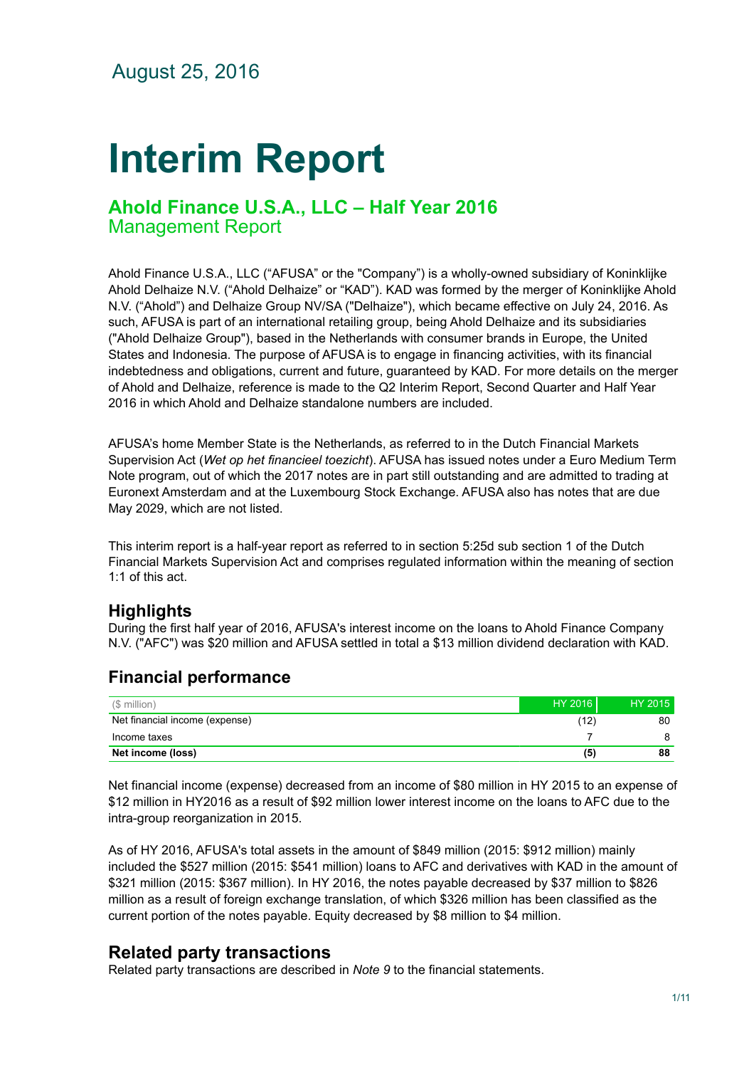August 25, 2016

# **Interim Report**

# **Ahold Finance U.S.A., LLC – Half Year 2016** Management Report

Ahold Finance U.S.A., LLC ("AFUSA" or the "Company") is a wholly-owned subsidiary of Koninklijke Ahold Delhaize N.V. ("Ahold Delhaize" or "KAD"). KAD was formed by the merger of Koninklijke Ahold N.V. ("Ahold") and Delhaize Group NV/SA ("Delhaize"), which became effective on July 24, 2016. As such, AFUSA is part of an international retailing group, being Ahold Delhaize and its subsidiaries ("Ahold Delhaize Group"), based in the Netherlands with consumer brands in Europe, the United States and Indonesia. The purpose of AFUSA is to engage in financing activities, with its financial indebtedness and obligations, current and future, guaranteed by KAD. For more details on the merger of Ahold and Delhaize, reference is made to the Q2 Interim Report, Second Quarter and Half Year 2016 in which Ahold and Delhaize standalone numbers are included.

AFUSA's home Member State is the Netherlands, as referred to in the Dutch Financial Markets Supervision Act (*Wet op het financieel toezicht*). AFUSA has issued notes under a Euro Medium Term Note program, out of which the 2017 notes are in part still outstanding and are admitted to trading at Euronext Amsterdam and at the Luxembourg Stock Exchange. AFUSA also has notes that are due May 2029, which are not listed.

This interim report is a half-year report as referred to in section 5:25d sub section 1 of the Dutch Financial Markets Supervision Act and comprises regulated information within the meaning of section 1:1 of this act.

# **Highlights**

During the first half year of 2016, AFUSA's interest income on the loans to Ahold Finance Company N.V. ("AFC") was \$20 million and AFUSA settled in total a \$13 million dividend declaration with KAD.

### (\$ million) HY 2016 HY 2015 Net financial income (expense) 80 Income taxes 7 8 **Net income (loss) (5) 88**

# **Financial performance**

Net financial income (expense) decreased from an income of \$80 million in HY 2015 to an expense of \$12 million in HY2016 as a result of \$92 million lower interest income on the loans to AFC due to the intra-group reorganization in 2015.

As of HY 2016, AFUSA's total assets in the amount of \$849 million (2015: \$912 million) mainly included the \$527 million (2015: \$541 million) loans to AFC and derivatives with KAD in the amount of \$321 million (2015: \$367 million). In HY 2016, the notes payable decreased by \$37 million to \$826 million as a result of foreign exchange translation, of which \$326 million has been classified as the current portion of the notes payable. Equity decreased by \$8 million to \$4 million.

# **Related party transactions**

Related party transactions are described in *Note 9* to the financial statements.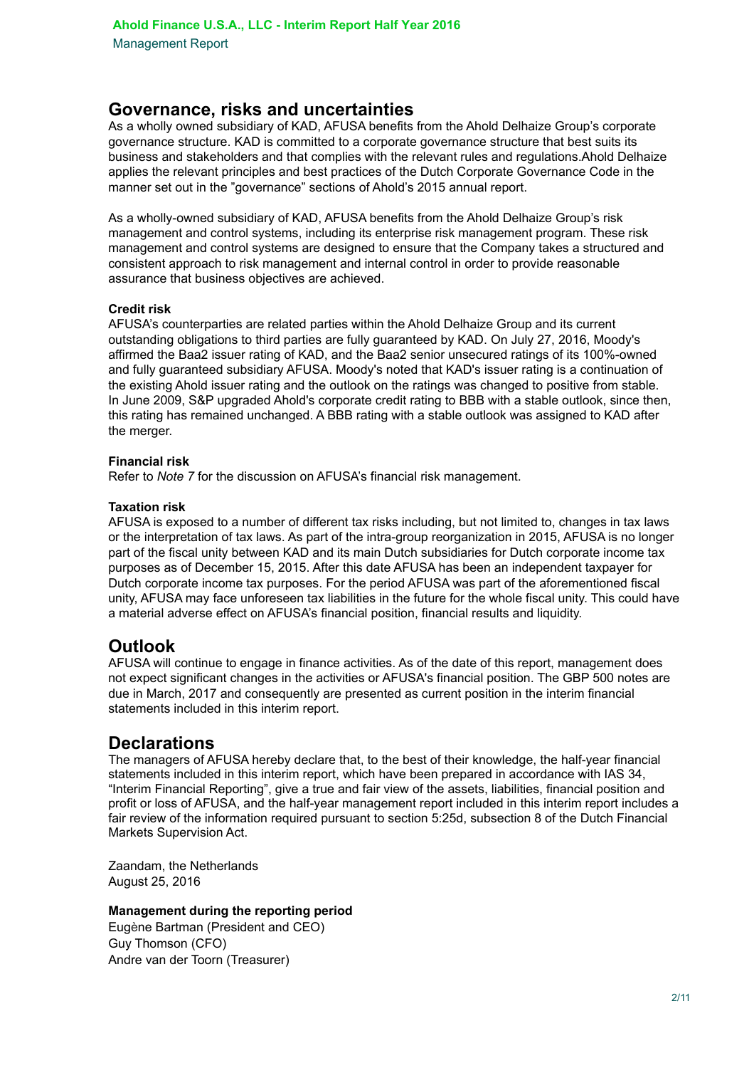## **Governance, risks and uncertainties**

As a wholly owned subsidiary of KAD, AFUSA benefits from the Ahold Delhaize Group's corporate governance structure. KAD is committed to a corporate governance structure that best suits its business and stakeholders and that complies with the relevant rules and regulations.Ahold Delhaize applies the relevant principles and best practices of the Dutch Corporate Governance Code in the manner set out in the "governance" sections of Ahold's 2015 annual report.

As a wholly-owned subsidiary of KAD, AFUSA benefits from the Ahold Delhaize Group's risk management and control systems, including its enterprise risk management program. These risk management and control systems are designed to ensure that the Company takes a structured and consistent approach to risk management and internal control in order to provide reasonable assurance that business objectives are achieved.

#### **Credit risk**

AFUSA's counterparties are related parties within the Ahold Delhaize Group and its current outstanding obligations to third parties are fully guaranteed by KAD. On July 27, 2016, Moody's affirmed the Baa2 issuer rating of KAD, and the Baa2 senior unsecured ratings of its 100%-owned and fully guaranteed subsidiary AFUSA. Moody's noted that KAD's issuer rating is a continuation of the existing Ahold issuer rating and the outlook on the ratings was changed to positive from stable. In June 2009, S&P upgraded Ahold's corporate credit rating to BBB with a stable outlook, since then, this rating has remained unchanged. A BBB rating with a stable outlook was assigned to KAD after the merger.

#### **Financial risk**

Refer to *Note 7* for the discussion on AFUSA's financial risk management.

#### **Taxation risk**

AFUSA is exposed to a number of different tax risks including, but not limited to, changes in tax laws or the interpretation of tax laws. As part of the intra-group reorganization in 2015, AFUSA is no longer part of the fiscal unity between KAD and its main Dutch subsidiaries for Dutch corporate income tax purposes as of December 15, 2015. After this date AFUSA has been an independent taxpayer for Dutch corporate income tax purposes. For the period AFUSA was part of the aforementioned fiscal unity, AFUSA may face unforeseen tax liabilities in the future for the whole fiscal unity. This could have a material adverse effect on AFUSA's financial position, financial results and liquidity.

# **Outlook**

AFUSA will continue to engage in finance activities. As of the date of this report, management does not expect significant changes in the activities or AFUSA's financial position. The GBP 500 notes are due in March, 2017 and consequently are presented as current position in the interim financial statements included in this interim report.

# **Declarations**

The managers of AFUSA hereby declare that, to the best of their knowledge, the half-year financial statements included in this interim report, which have been prepared in accordance with IAS 34, "Interim Financial Reporting", give a true and fair view of the assets, liabilities, financial position and profit or loss of AFUSA, and the half-year management report included in this interim report includes a fair review of the information required pursuant to section 5:25d, subsection 8 of the Dutch Financial Markets Supervision Act.

Zaandam, the Netherlands August 25, 2016

#### **Management during the reporting period**

Eugène Bartman (President and CEO) Guy Thomson (CFO) Andre van der Toorn (Treasurer)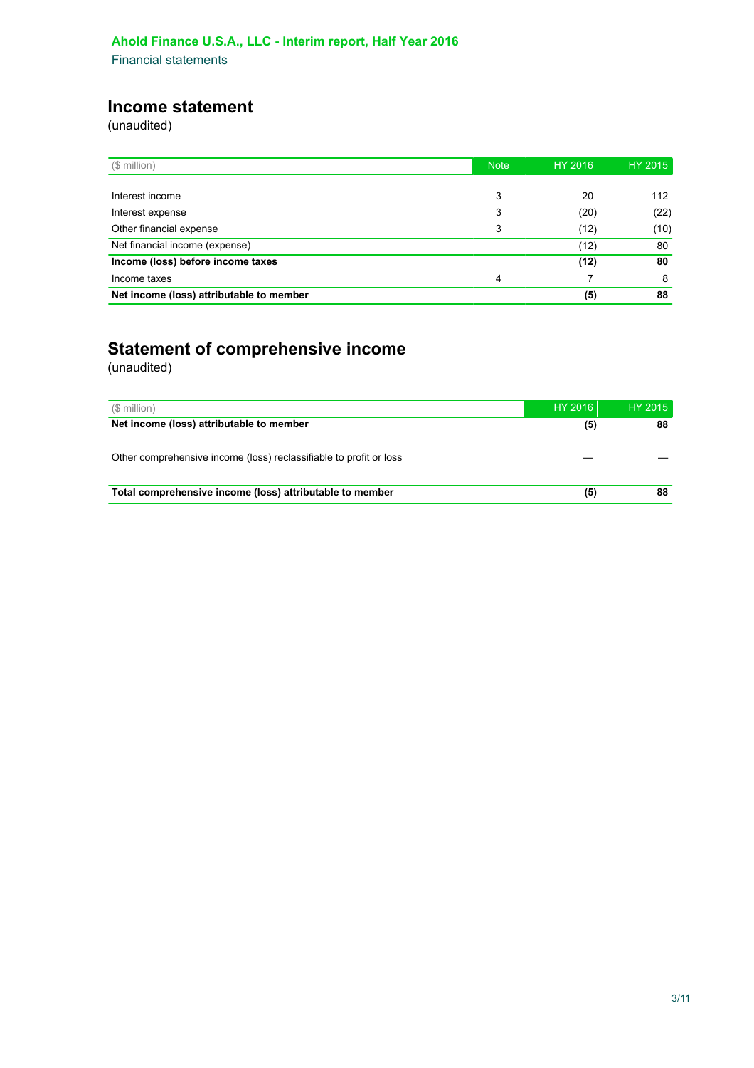# **Income statement**

(unaudited)

| (\$ million)                             | <b>Note</b> | HY 2016 | HY 2015 |
|------------------------------------------|-------------|---------|---------|
|                                          |             |         |         |
| Interest income                          | 3           | 20      | 112     |
| Interest expense                         | 3           | (20)    | (22)    |
| Other financial expense                  | 3           | (12)    | (10)    |
| Net financial income (expense)           |             | (12)    | 80      |
| Income (loss) before income taxes        |             | (12)    | 80      |
| Income taxes                             | 4           |         | 8       |
| Net income (loss) attributable to member |             | (5)     | 88      |

# **Statement of comprehensive income**

(unaudited)

| (\$ million)                                                       | HY 2016 | HY 2015 |
|--------------------------------------------------------------------|---------|---------|
| Net income (loss) attributable to member                           | (5)     | 88      |
| Other comprehensive income (loss) reclassifiable to profit or loss |         |         |
| Total comprehensive income (loss) attributable to member           | (5)     | 88      |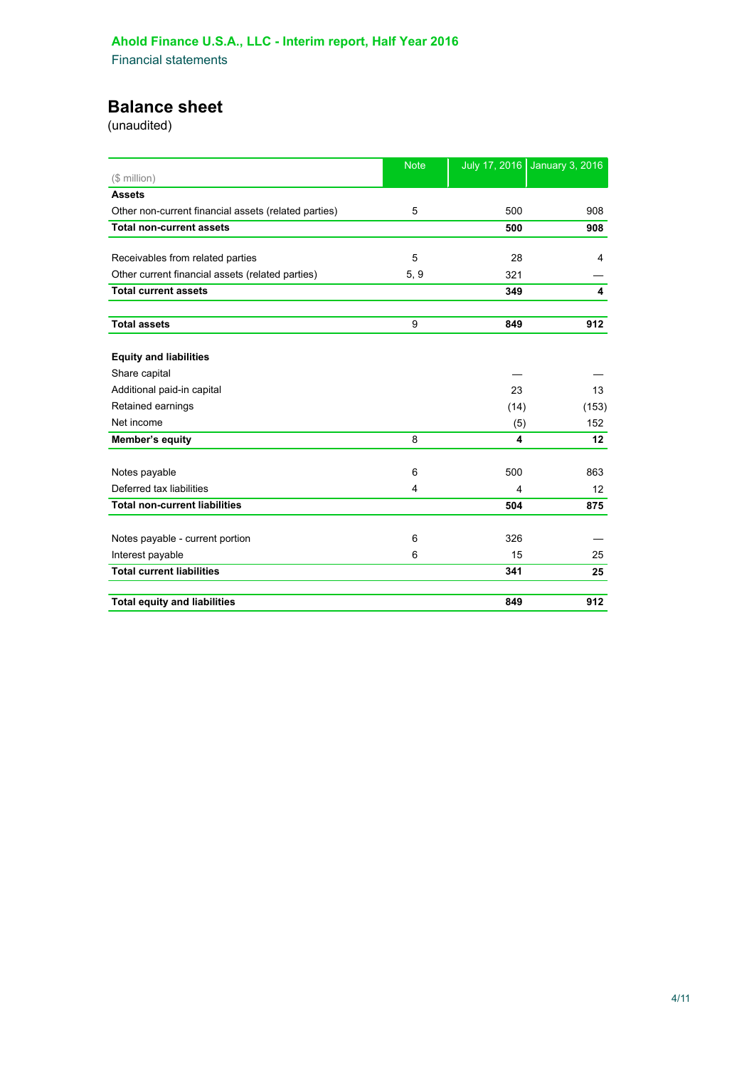# **Balance sheet**

(unaudited)

|                                                      | <b>Note</b>             | July 17, 2016 | <b>January 3, 2016</b> |
|------------------------------------------------------|-------------------------|---------------|------------------------|
| (\$ million)                                         |                         |               |                        |
| <b>Assets</b>                                        |                         |               |                        |
| Other non-current financial assets (related parties) | 5                       | 500           | 908                    |
| <b>Total non-current assets</b>                      |                         | 500           | 908                    |
| Receivables from related parties                     | 5                       | 28            | 4                      |
| Other current financial assets (related parties)     | 5, 9                    | 321           |                        |
| <b>Total current assets</b>                          |                         | 349           | 4                      |
|                                                      |                         |               |                        |
| <b>Total assets</b>                                  | 9                       | 849           | 912                    |
| <b>Equity and liabilities</b>                        |                         |               |                        |
| Share capital                                        |                         |               |                        |
| Additional paid-in capital                           |                         | 23            | 13                     |
| Retained earnings                                    |                         | (14)          | (153)                  |
| Net income                                           |                         | (5)           | 152                    |
| Member's equity                                      | 8                       | 4             | 12                     |
| Notes payable                                        | 6                       | 500           | 863                    |
| Deferred tax liabilities                             | $\overline{\mathbf{4}}$ | 4             | 12                     |
| <b>Total non-current liabilities</b>                 |                         | 504           | 875                    |
|                                                      |                         |               |                        |
| Notes payable - current portion                      | 6                       | 326           |                        |
| Interest payable                                     | 6                       | 15            | 25                     |
| <b>Total current liabilities</b>                     |                         | 341           | 25                     |
| <b>Total equity and liabilities</b>                  |                         | 849           | 912                    |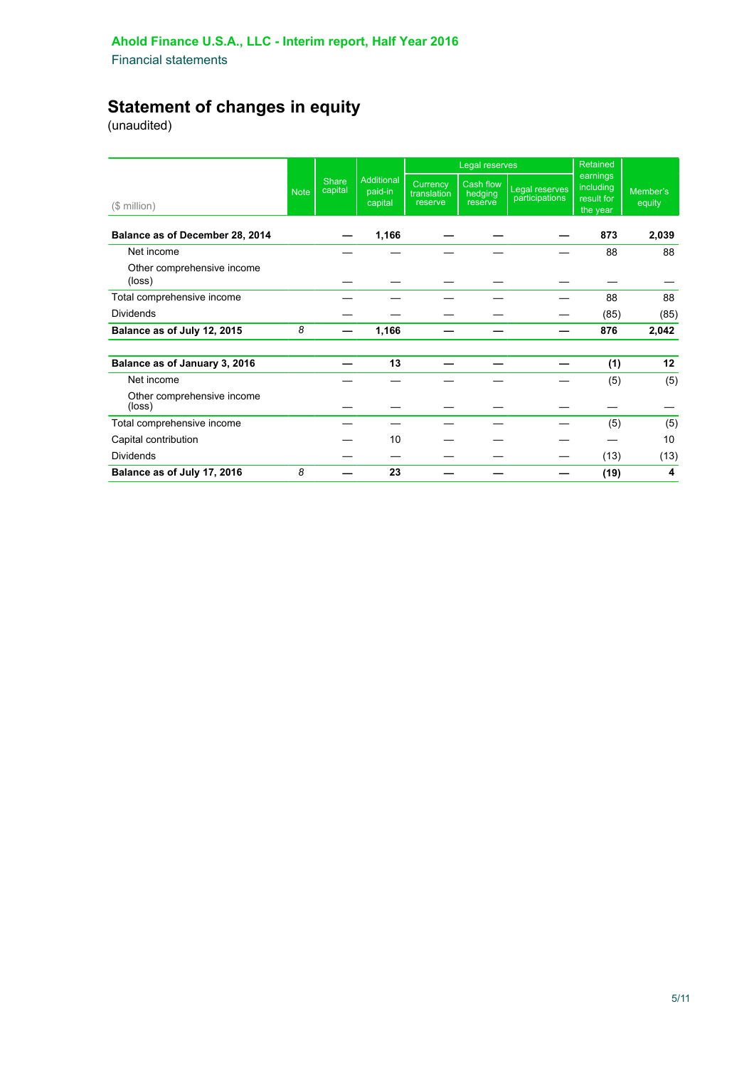# **Statement of changes in equity**

(unaudited)

|                                      |             |                         |                                         |                                    | Legal reserves                  |                                  | Retained                                        |                    |  |
|--------------------------------------|-------------|-------------------------|-----------------------------------------|------------------------------------|---------------------------------|----------------------------------|-------------------------------------------------|--------------------|--|
| $($$ million $)$                     | <b>Note</b> | <b>Share</b><br>capital | <b>Additional</b><br>paid-in<br>capital | Currency<br>translation<br>reserve | Cash flow<br>hedging<br>reserve | Legal reserves<br>participations | earnings<br>including<br>result for<br>the year | Member's<br>equity |  |
| Balance as of December 28, 2014      |             |                         | 1,166                                   |                                    |                                 |                                  | 873                                             | 2,039              |  |
| Net income                           |             |                         |                                         |                                    |                                 |                                  | 88                                              | 88                 |  |
| Other comprehensive income<br>(loss) |             |                         |                                         |                                    |                                 |                                  |                                                 |                    |  |
| Total comprehensive income           |             |                         |                                         |                                    |                                 |                                  | 88                                              | 88                 |  |
| <b>Dividends</b>                     |             |                         |                                         |                                    |                                 |                                  | (85)                                            | (85)               |  |
| Balance as of July 12, 2015          | 8           |                         | 1,166                                   |                                    |                                 |                                  | 876                                             | 2,042              |  |
| Balance as of January 3, 2016        |             |                         | 13                                      |                                    |                                 |                                  | (1)                                             | 12                 |  |
| Net income                           |             |                         |                                         |                                    |                                 |                                  | (5)                                             | (5)                |  |
| Other comprehensive income<br>(loss) |             |                         |                                         |                                    |                                 |                                  |                                                 |                    |  |
| Total comprehensive income           |             |                         |                                         |                                    |                                 |                                  | (5)                                             | (5)                |  |
| Capital contribution                 |             |                         | 10                                      |                                    |                                 |                                  |                                                 | 10                 |  |
| <b>Dividends</b>                     |             |                         |                                         |                                    |                                 |                                  | (13)                                            | (13)               |  |
| Balance as of July 17, 2016          | 8           |                         | 23                                      |                                    |                                 |                                  | (19)                                            | 4                  |  |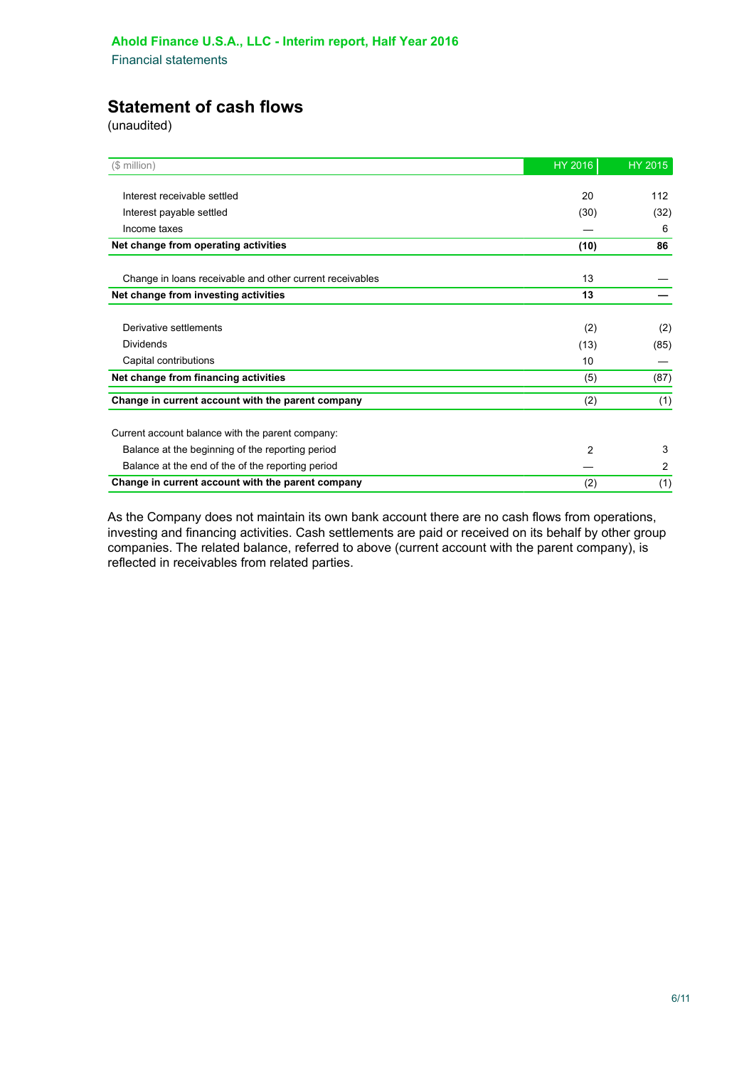# **Statement of cash flows**

(unaudited)

| (\$ million)                                             | HY 2016        | HY 2015        |
|----------------------------------------------------------|----------------|----------------|
|                                                          |                |                |
| Interest receivable settled                              | 20             | 112            |
| Interest payable settled                                 | (30)           | (32)           |
| Income taxes                                             |                | 6              |
| Net change from operating activities                     | (10)           | 86             |
| Change in loans receivable and other current receivables | 13             |                |
| Net change from investing activities                     | 13             |                |
|                                                          |                |                |
| Derivative settlements                                   | (2)            | (2)            |
| Dividends                                                | (13)           | (85)           |
| Capital contributions                                    | 10             |                |
| Net change from financing activities                     | (5)            | (87)           |
| Change in current account with the parent company        | (2)            | (1)            |
| Current account balance with the parent company:         |                |                |
| Balance at the beginning of the reporting period         | $\overline{2}$ | 3              |
| Balance at the end of the of the reporting period        |                | $\overline{2}$ |
| Change in current account with the parent company        | (2)            | (1)            |

As the Company does not maintain its own bank account there are no cash flows from operations, investing and financing activities. Cash settlements are paid or received on its behalf by other group companies. The related balance, referred to above (current account with the parent company), is reflected in receivables from related parties.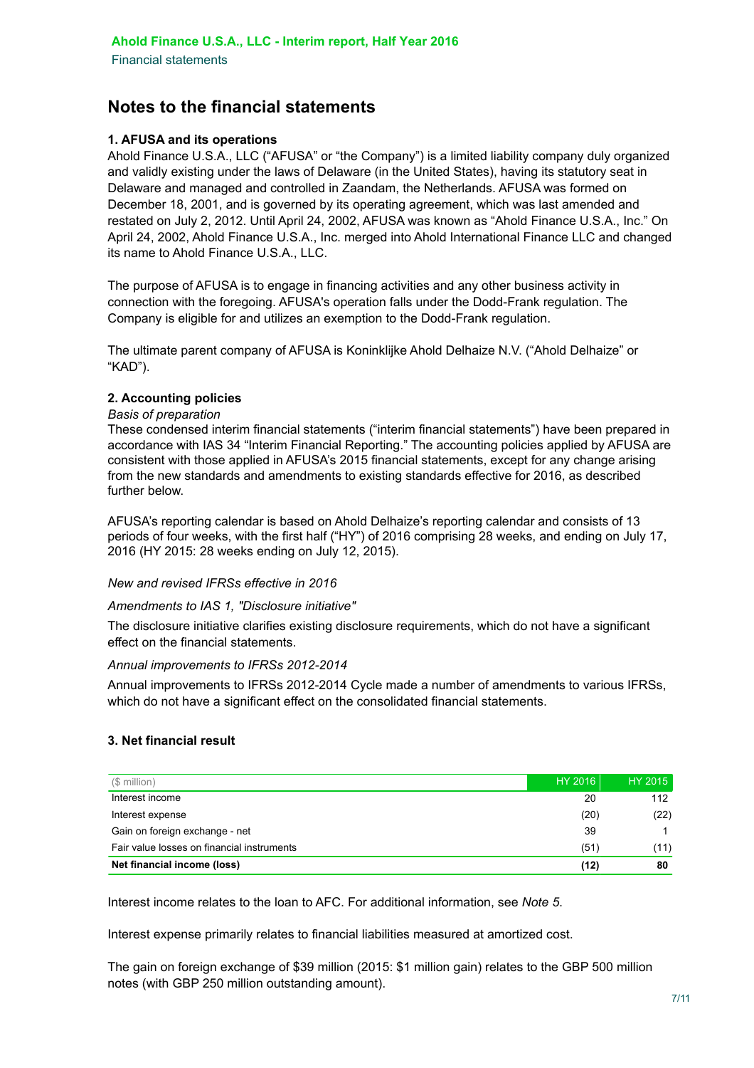# **Notes to the financial statements**

#### **1. AFUSA and its operations**

Ahold Finance U.S.A., LLC ("AFUSA" or "the Company") is a limited liability company duly organized and validly existing under the laws of Delaware (in the United States), having its statutory seat in Delaware and managed and controlled in Zaandam, the Netherlands. AFUSA was formed on December 18, 2001, and is governed by its operating agreement, which was last amended and restated on July 2, 2012. Until April 24, 2002, AFUSA was known as "Ahold Finance U.S.A., Inc." On April 24, 2002, Ahold Finance U.S.A., Inc. merged into Ahold International Finance LLC and changed its name to Ahold Finance U.S.A., LLC.

The purpose of AFUSA is to engage in financing activities and any other business activity in connection with the foregoing. AFUSA's operation falls under the Dodd-Frank regulation. The Company is eligible for and utilizes an exemption to the Dodd-Frank regulation.

The ultimate parent company of AFUSA is Koninklijke Ahold Delhaize N.V. ("Ahold Delhaize" or "KAD").

#### **2. Accounting policies**

#### *Basis of preparation*

These condensed interim financial statements ("interim financial statements") have been prepared in accordance with IAS 34 "Interim Financial Reporting." The accounting policies applied by AFUSA are consistent with those applied in AFUSA's 2015 financial statements, except for any change arising from the new standards and amendments to existing standards effective for 2016, as described further below.

AFUSA's reporting calendar is based on Ahold Delhaize's reporting calendar and consists of 13 periods of four weeks, with the first half ("HY") of 2016 comprising 28 weeks, and ending on July 17, 2016 (HY 2015: 28 weeks ending on July 12, 2015).

#### *New and revised IFRSs effective in 2016*

#### *Amendments to IAS 1, "Disclosure initiative"*

The disclosure initiative clarifies existing disclosure requirements, which do not have a significant effect on the financial statements.

#### *Annual improvements to IFRSs 2012-2014*

Annual improvements to IFRSs 2012-2014 Cycle made a number of amendments to various IFRSs, which do not have a significant effect on the consolidated financial statements.

#### **3. Net financial result**

| (\$ million)                               | <b>HY 2016</b> | HY 2015 |
|--------------------------------------------|----------------|---------|
| Interest income                            | 20             | 112     |
| Interest expense                           | (20)           | (22)    |
| Gain on foreign exchange - net             | 39             |         |
| Fair value losses on financial instruments | (51)           | (11)    |
| Net financial income (loss)                | (12)           | 80      |

Interest income relates to the loan to AFC. For additional information, see *Note 5*.

Interest expense primarily relates to financial liabilities measured at amortized cost.

The gain on foreign exchange of \$39 million (2015: \$1 million gain) relates to the GBP 500 million notes (with GBP 250 million outstanding amount).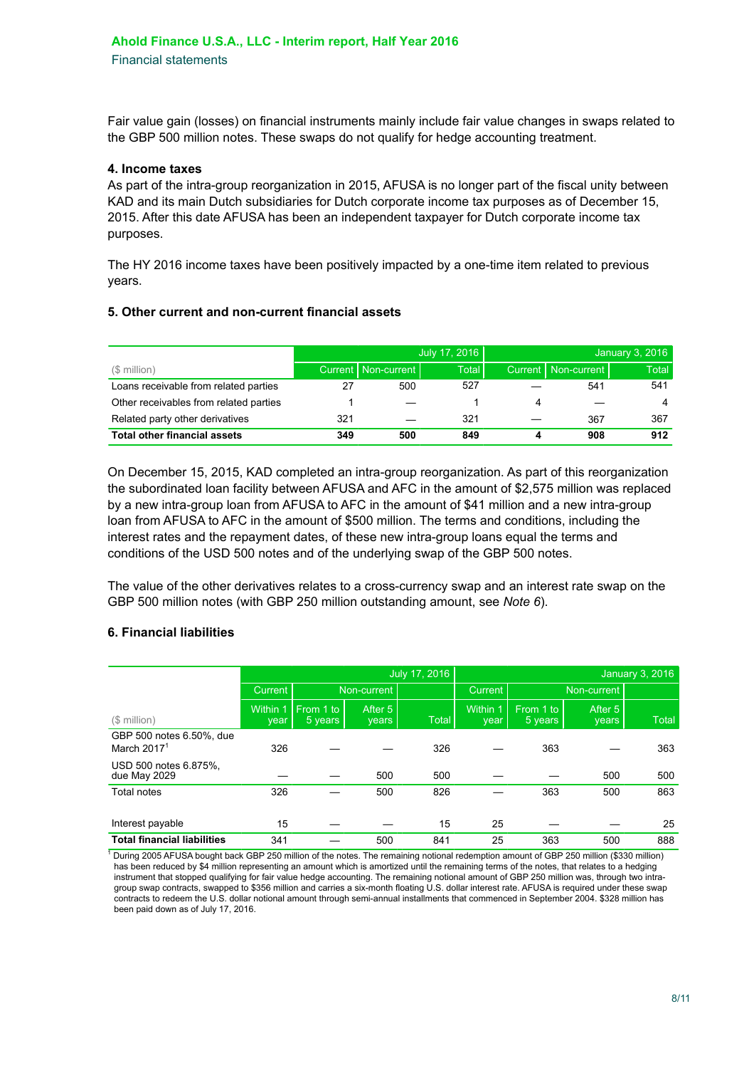Fair value gain (losses) on financial instruments mainly include fair value changes in swaps related to the GBP 500 million notes. These swaps do not qualify for hedge accounting treatment.

#### **4. Income taxes**

As part of the intra-group reorganization in 2015, AFUSA is no longer part of the fiscal unity between KAD and its main Dutch subsidiaries for Dutch corporate income tax purposes as of December 15, 2015. After this date AFUSA has been an independent taxpayer for Dutch corporate income tax purposes.

The HY 2016 income taxes have been positively impacted by a one-time item related to previous years.

#### **5. Other current and non-current financial assets**

|                                        |     |                       | July 17, 2016 |   |                       | January 3, 2016 |
|----------------------------------------|-----|-----------------------|---------------|---|-----------------------|-----------------|
| (\$ million)                           |     | Current   Non-current | <b>Total</b>  |   | Current   Non-current | Total I         |
| Loans receivable from related parties  |     | 500                   | 527           |   | 541                   | 541             |
| Other receivables from related parties |     |                       |               | 4 |                       |                 |
| Related party other derivatives        | 321 |                       | 321           |   | 367                   | 367             |
| <b>Total other financial assets</b>    | 349 | 500                   | 849           |   | 908                   | 912             |

On December 15, 2015, KAD completed an intra-group reorganization. As part of this reorganization the subordinated loan facility between AFUSA and AFC in the amount of \$2,575 million was replaced by a new intra-group loan from AFUSA to AFC in the amount of \$41 million and a new intra-group loan from AFUSA to AFC in the amount of \$500 million. The terms and conditions, including the interest rates and the repayment dates, of these new intra-group loans equal the terms and conditions of the USD 500 notes and of the underlying swap of the GBP 500 notes.

The value of the other derivatives relates to a cross-currency swap and an interest rate swap on the GBP 500 million notes (with GBP 250 million outstanding amount, see *Note 6*).

#### **6. Financial liabilities**

1

|                                           | July 17, 2016    |                      |                  |              | January 3, 2016  |                      |                  |              |
|-------------------------------------------|------------------|----------------------|------------------|--------------|------------------|----------------------|------------------|--------------|
|                                           | Current          |                      | Non-current      |              | <b>Current</b>   |                      | Non-current      |              |
| (\$ million)                              | Within 1<br>year | From 1 to<br>5 years | After 5<br>years | <b>Total</b> | Within 1<br>vear | From 1 to<br>5 years | After 5<br>years | <b>Total</b> |
| GBP 500 notes 6.50%, due<br>March $20171$ | 326              |                      |                  | 326          |                  | 363                  |                  | 363          |
| USD 500 notes 6.875%,<br>due May 2029     |                  |                      | 500              | 500          |                  |                      | 500              | 500          |
| Total notes                               | 326              |                      | 500              | 826          |                  | 363                  | 500              | 863          |
| Interest payable                          | 15               |                      |                  | 15           | 25               |                      |                  | 25           |
| <b>Total financial liabilities</b>        | 341              |                      | 500              | 841          | 25               | 363                  | 500              | 888          |

 During 2005 AFUSA bought back GBP 250 million of the notes. The remaining notional redemption amount of GBP 250 million (\$330 million) has been reduced by \$4 million representing an amount which is amortized until the remaining terms of the notes, that relates to a hedging instrument that stopped qualifying for fair value hedge accounting. The remaining notional amount of GBP 250 million was, through two intragroup swap contracts, swapped to \$356 million and carries a six-month floating U.S. dollar interest rate. AFUSA is required under these swap contracts to redeem the U.S. dollar notional amount through semi-annual installments that commenced in September 2004. \$328 million has been paid down as of July 17, 2016.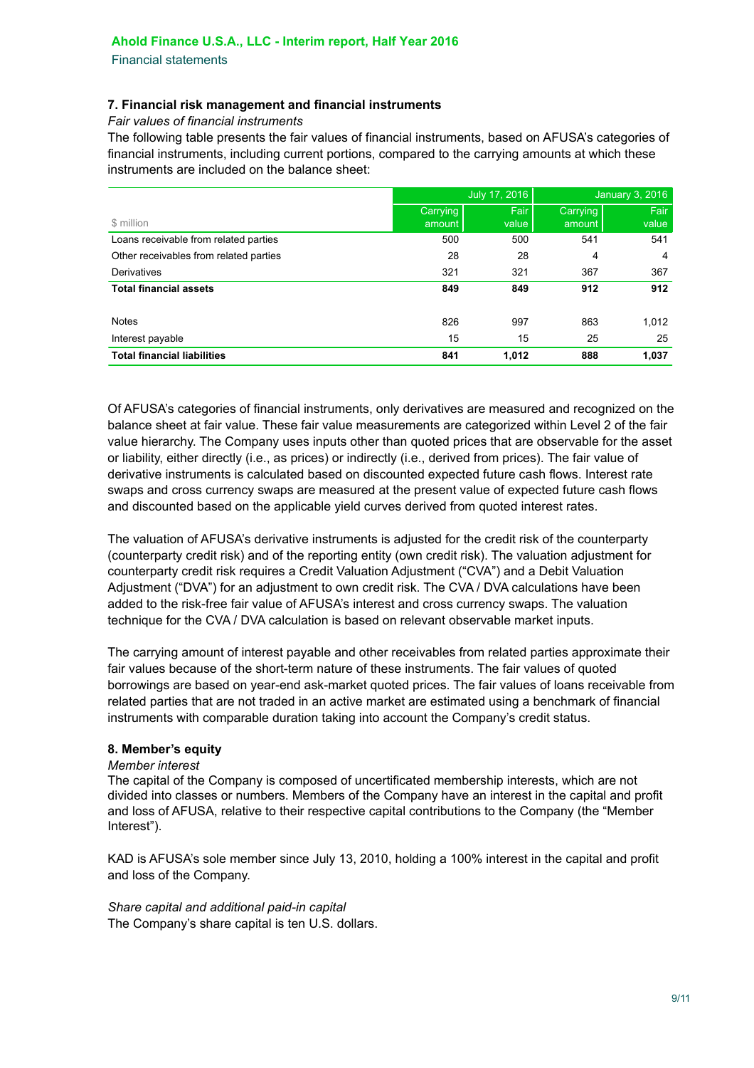Financial statements

#### **7. Financial risk management and financial instruments**

*Fair values of financial instruments*

The following table presents the fair values of financial instruments, based on AFUSA's categories of financial instruments, including current portions, compared to the carrying amounts at which these instruments are included on the balance sheet:

|                                        |          | July 17, 2016 | January 3, 2016 |       |  |
|----------------------------------------|----------|---------------|-----------------|-------|--|
|                                        | Carrying | Fair          | Carrying        | Fair  |  |
| \$ million                             | amount   | value         | amount          | value |  |
| Loans receivable from related parties  | 500      | 500           | 541             | 541   |  |
| Other receivables from related parties | 28       | 28            | 4               | 4     |  |
| Derivatives                            | 321      | 321           | 367             | 367   |  |
| <b>Total financial assets</b>          | 849      | 849           | 912             | 912   |  |
|                                        |          |               |                 |       |  |
| <b>Notes</b>                           | 826      | 997           | 863             | 1,012 |  |
| Interest payable                       | 15       | 15            | 25              | 25    |  |
| <b>Total financial liabilities</b>     | 841      | 1,012         | 888             | 1,037 |  |

Of AFUSA's categories of financial instruments, only derivatives are measured and recognized on the balance sheet at fair value. These fair value measurements are categorized within Level 2 of the fair value hierarchy. The Company uses inputs other than quoted prices that are observable for the asset or liability, either directly (i.e., as prices) or indirectly (i.e., derived from prices). The fair value of derivative instruments is calculated based on discounted expected future cash flows. Interest rate swaps and cross currency swaps are measured at the present value of expected future cash flows and discounted based on the applicable yield curves derived from quoted interest rates.

The valuation of AFUSA's derivative instruments is adjusted for the credit risk of the counterparty (counterparty credit risk) and of the reporting entity (own credit risk). The valuation adjustment for counterparty credit risk requires a Credit Valuation Adjustment ("CVA") and a Debit Valuation Adjustment ("DVA") for an adjustment to own credit risk. The CVA / DVA calculations have been added to the risk-free fair value of AFUSA's interest and cross currency swaps. The valuation technique for the CVA / DVA calculation is based on relevant observable market inputs.

The carrying amount of interest payable and other receivables from related parties approximate their fair values because of the short-term nature of these instruments. The fair values of quoted borrowings are based on year-end ask-market quoted prices. The fair values of loans receivable from related parties that are not traded in an active market are estimated using a benchmark of financial instruments with comparable duration taking into account the Company's credit status.

#### **8. Member's equity**

#### *Member interest*

The capital of the Company is composed of uncertificated membership interests, which are not divided into classes or numbers. Members of the Company have an interest in the capital and profit and loss of AFUSA, relative to their respective capital contributions to the Company (the "Member Interest").

KAD is AFUSA's sole member since July 13, 2010, holding a 100% interest in the capital and profit and loss of the Company.

*Share capital and additional paid-in capital* The Company's share capital is ten U.S. dollars.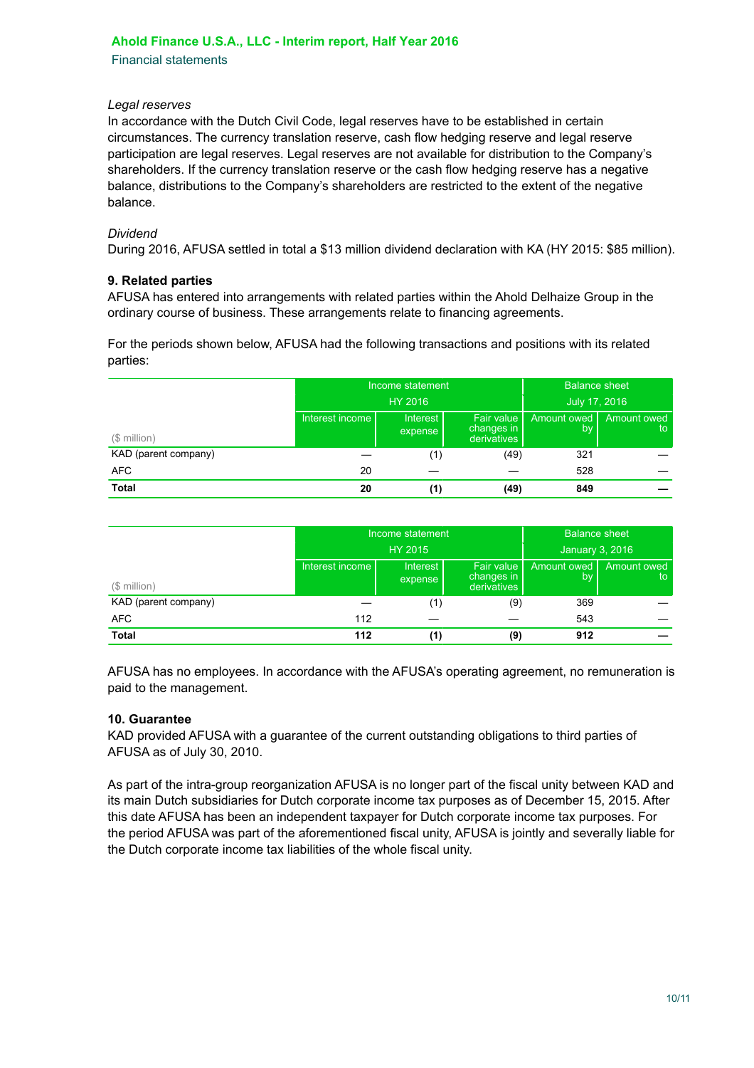#### **Ahold Finance U.S.A., LLC - Interim report, Half Year 2016**

Financial statements

#### *Legal reserves*

In accordance with the Dutch Civil Code, legal reserves have to be established in certain circumstances. The currency translation reserve, cash flow hedging reserve and legal reserve participation are legal reserves. Legal reserves are not available for distribution to the Company's shareholders. If the currency translation reserve or the cash flow hedging reserve has a negative balance, distributions to the Company's shareholders are restricted to the extent of the negative balance.

#### *Dividend*

During 2016, AFUSA settled in total a \$13 million dividend declaration with KA (HY 2015: \$85 million).

#### **9. Related parties**

AFUSA has entered into arrangements with related parties within the Ahold Delhaize Group in the ordinary course of business. These arrangements relate to financing agreements.

For the periods shown below, AFUSA had the following transactions and positions with its related parties:

|                      |                 | Income statement    | <b>Balance sheet</b> |                   |  |
|----------------------|-----------------|---------------------|----------------------|-------------------|--|
|                      |                 | HY 2016             | July 17, 2016        |                   |  |
| $($$ million $)$     | Interest income | Interest<br>expense | Amount owed<br>by    | Amount owed<br>to |  |
| KAD (parent company) |                 | (1)                 | (49)                 | 321               |  |
| <b>AFC</b>           | 20              |                     |                      | 528               |  |
| <b>Total</b>         | 20              | (1)                 | (49)                 | 849               |  |

|                      |                 | Income statement           | <b>Balance sheet</b>                    |                   |                   |
|----------------------|-----------------|----------------------------|-----------------------------------------|-------------------|-------------------|
|                      |                 | <b>HY 2015</b>             | January 3, 2016                         |                   |                   |
| (\$ million)         | Interest income | <b>Interest</b><br>expense | Fair value<br>changes in<br>derivatives | Amount owed<br>b٧ | Amount owed<br>to |
| KAD (parent company) |                 | (1)                        | (9)                                     | 369               |                   |
| <b>AFC</b>           | 112             |                            |                                         | 543               |                   |
| <b>Total</b>         | 112             | (1)                        | (9)                                     | 912               |                   |

AFUSA has no employees. In accordance with the AFUSA's operating agreement, no remuneration is paid to the management.

#### **10. Guarantee**

KAD provided AFUSA with a guarantee of the current outstanding obligations to third parties of AFUSA as of July 30, 2010.

As part of the intra-group reorganization AFUSA is no longer part of the fiscal unity between KAD and its main Dutch subsidiaries for Dutch corporate income tax purposes as of December 15, 2015. After this date AFUSA has been an independent taxpayer for Dutch corporate income tax purposes. For the period AFUSA was part of the aforementioned fiscal unity, AFUSA is jointly and severally liable for the Dutch corporate income tax liabilities of the whole fiscal unity.